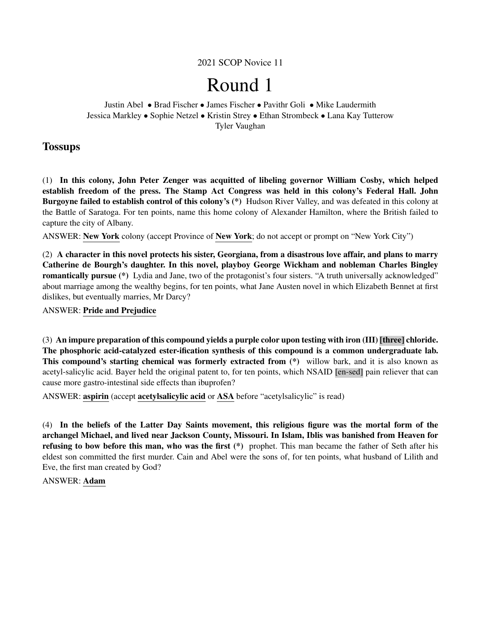## 2021 SCOP Novice 11

# Round 1

Justin Abel • Brad Fischer • James Fischer • Pavithr Goli • Mike Laudermith Jessica Markley • Sophie Netzel • Kristin Strey • Ethan Strombeck • Lana Kay Tutterow Tyler Vaughan

## **Tossups**

(1) In this colony, John Peter Zenger was acquitted of libeling governor William Cosby, which helped establish freedom of the press. The Stamp Act Congress was held in this colony's Federal Hall. John Burgoyne failed to establish control of this colony's (\*) Hudson River Valley, and was defeated in this colony at the Battle of Saratoga. For ten points, name this home colony of Alexander Hamilton, where the British failed to capture the city of Albany.

ANSWER: New York colony (accept Province of New York; do not accept or prompt on "New York City")

(2) A character in this novel protects his sister, Georgiana, from a disastrous love affair, and plans to marry Catherine de Bourgh's daughter. In this novel, playboy George Wickham and nobleman Charles Bingley romantically pursue (\*) Lydia and Jane, two of the protagonist's four sisters. "A truth universally acknowledged" about marriage among the wealthy begins, for ten points, what Jane Austen novel in which Elizabeth Bennet at first dislikes, but eventually marries, Mr Darcy?

ANSWER: Pride and Prejudice

(3) An impure preparation of this compound yields a purple color upon testing with iron (III) [three] chloride. The phosphoric acid-catalyzed ester-ification synthesis of this compound is a common undergraduate lab. This compound's starting chemical was formerly extracted from (\*) willow bark, and it is also known as acetyl-salicylic acid. Bayer held the original patent to, for ten points, which NSAID [en-sed] pain reliever that can cause more gastro-intestinal side effects than ibuprofen?

ANSWER: aspirin (accept acetylsalicylic acid or ASA before "acetylsalicylic" is read)

(4) In the beliefs of the Latter Day Saints movement, this religious figure was the mortal form of the archangel Michael, and lived near Jackson County, Missouri. In Islam, Iblis was banished from Heaven for refusing to bow before this man, who was the first (\*) prophet. This man became the father of Seth after his eldest son committed the first murder. Cain and Abel were the sons of, for ten points, what husband of Lilith and Eve, the first man created by God?

ANSWER: Adam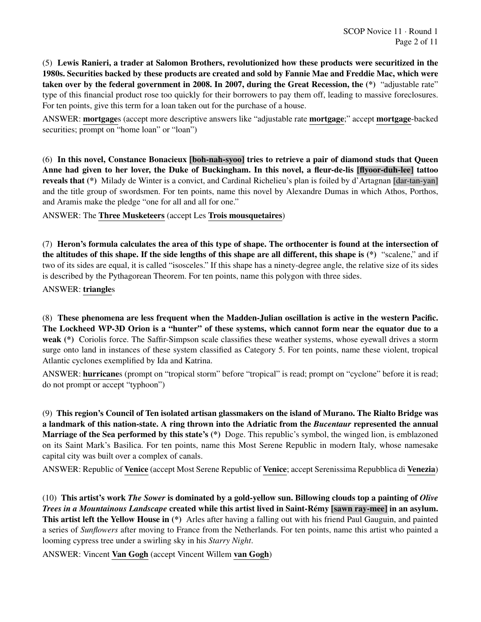(5) Lewis Ranieri, a trader at Salomon Brothers, revolutionized how these products were securitized in the 1980s. Securities backed by these products are created and sold by Fannie Mae and Freddie Mac, which were taken over by the federal government in 2008. In 2007, during the Great Recession, the (\*) "adjustable rate" type of this financial product rose too quickly for their borrowers to pay them off, leading to massive foreclosures. For ten points, give this term for a loan taken out for the purchase of a house.

ANSWER: mortgages (accept more descriptive answers like "adjustable rate mortgage;" accept mortgage-backed securities; prompt on "home loan" or "loan")

(6) In this novel, Constance Bonacieux [boh-nah-syoo] tries to retrieve a pair of diamond studs that Queen Anne had given to her lover, the Duke of Buckingham. In this novel, a fleur-de-lis [flyoor-duh-lee] tattoo reveals that (\*) Milady de Winter is a convict, and Cardinal Richelieu's plan is foiled by d'Artagnan [dar-tan-yan] and the title group of swordsmen. For ten points, name this novel by Alexandre Dumas in which Athos, Porthos, and Aramis make the pledge "one for all and all for one."

ANSWER: The Three Musketeers (accept Les Trois mousquetaires)

(7) Heron's formula calculates the area of this type of shape. The orthocenter is found at the intersection of the altitudes of this shape. If the side lengths of this shape are all different, this shape is (\*) "scalene," and if two of its sides are equal, it is called "isosceles." If this shape has a ninety-degree angle, the relative size of its sides is described by the Pythagorean Theorem. For ten points, name this polygon with three sides.

ANSWER: triangles

(8) These phenomena are less frequent when the Madden-Julian oscillation is active in the western Pacific. The Lockheed WP-3D Orion is a "hunter" of these systems, which cannot form near the equator due to a weak (\*) Coriolis force. The Saffir-Simpson scale classifies these weather systems, whose eyewall drives a storm surge onto land in instances of these system classified as Category 5. For ten points, name these violent, tropical Atlantic cyclones exemplified by Ida and Katrina.

ANSWER: hurricanes (prompt on "tropical storm" before "tropical" is read; prompt on "cyclone" before it is read; do not prompt or accept "typhoon")

(9) This region's Council of Ten isolated artisan glassmakers on the island of Murano. The Rialto Bridge was a landmark of this nation-state. A ring thrown into the Adriatic from the *Bucentaur* represented the annual Marriage of the Sea performed by this state's (\*) Doge. This republic's symbol, the winged lion, is emblazoned on its Saint Mark's Basilica. For ten points, name this Most Serene Republic in modern Italy, whose namesake capital city was built over a complex of canals.

ANSWER: Republic of Venice (accept Most Serene Republic of Venice; accept Serenissima Repubblica di Venezia)

(10) This artist's work *The Sower* is dominated by a gold-yellow sun. Billowing clouds top a painting of *Olive Trees in a Mountainous Landscape* created while this artist lived in Saint-Rémy [sawn ray-mee] in an asylum. This artist left the Yellow House in (\*) Arles after having a falling out with his friend Paul Gauguin, and painted a series of *Sunflowers* after moving to France from the Netherlands. For ten points, name this artist who painted a looming cypress tree under a swirling sky in his *Starry Night*.

ANSWER: Vincent Van Gogh (accept Vincent Willem van Gogh)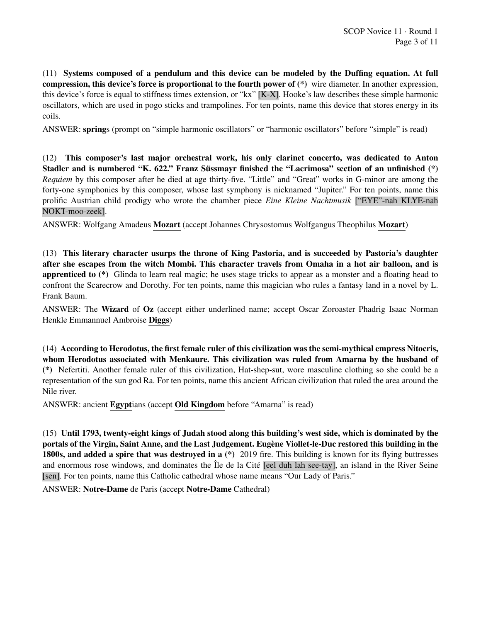(11) Systems composed of a pendulum and this device can be modeled by the Duffing equation. At full compression, this device's force is proportional to the fourth power of (\*) wire diameter. In another expression, this device's force is equal to stiffness times extension, or "kx" [K-X]. Hooke's law describes these simple harmonic oscillators, which are used in pogo sticks and trampolines. For ten points, name this device that stores energy in its coils.

ANSWER: springs (prompt on "simple harmonic oscillators" or "harmonic oscillators" before "simple" is read)

(12) This composer's last major orchestral work, his only clarinet concerto, was dedicated to Anton Stadler and is numbered "K. 622." Franz Süssmayr finished the "Lacrimosa" section of an unfinished (\*) *Requiem* by this composer after he died at age thirty-five. "Little" and "Great" works in G-minor are among the forty-one symphonies by this composer, whose last symphony is nicknamed "Jupiter." For ten points, name this prolific Austrian child prodigy who wrote the chamber piece *Eine Kleine Nachtmusik* ["EYE"-nah KLYE-nah NOKT-moo-zeek].

ANSWER: Wolfgang Amadeus Mozart (accept Johannes Chrysostomus Wolfgangus Theophilus Mozart)

(13) This literary character usurps the throne of King Pastoria, and is succeeded by Pastoria's daughter after she escapes from the witch Mombi. This character travels from Omaha in a hot air balloon, and is apprenticed to (\*) Glinda to learn real magic; he uses stage tricks to appear as a monster and a floating head to confront the Scarecrow and Dorothy. For ten points, name this magician who rules a fantasy land in a novel by L. Frank Baum.

ANSWER: The Wizard of Oz (accept either underlined name; accept Oscar Zoroaster Phadrig Isaac Norman Henkle Emmannuel Ambroise Diggs)

(14) According to Herodotus, the first female ruler of this civilization was the semi-mythical empress Nitocris, whom Herodotus associated with Menkaure. This civilization was ruled from Amarna by the husband of (\*) Nefertiti. Another female ruler of this civilization, Hat-shep-sut, wore masculine clothing so she could be a representation of the sun god Ra. For ten points, name this ancient African civilization that ruled the area around the Nile river.

ANSWER: ancient Egyptians (accept Old Kingdom before "Amarna" is read)

(15) Until 1793, twenty-eight kings of Judah stood along this building's west side, which is dominated by the portals of the Virgin, Saint Anne, and the Last Judgement. Eugene Viollet-le-Duc restored this building in the ` 1800s, and added a spire that was destroyed in a  $(*)$  2019 fire. This building is known for its flying buttresses and enormous rose windows, and dominates the Île de la Cité [eel duh lah see-tay], an island in the River Seine [sen]. For ten points, name this Catholic cathedral whose name means "Our Lady of Paris."

ANSWER: Notre-Dame de Paris (accept Notre-Dame Cathedral)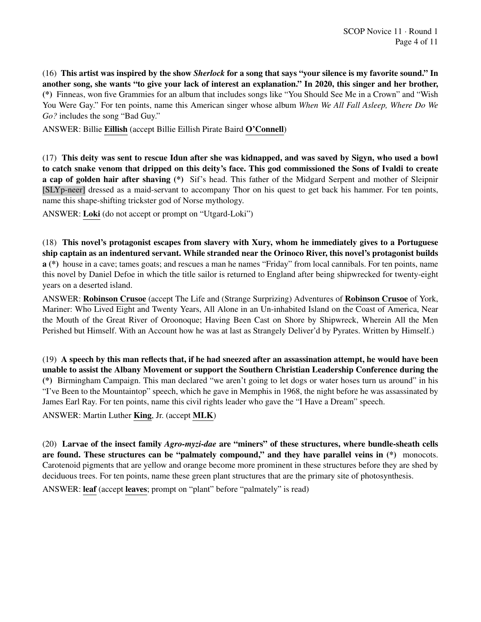(16) This artist was inspired by the show *Sherlock* for a song that says "your silence is my favorite sound." In another song, she wants "to give your lack of interest an explanation." In 2020, this singer and her brother, (\*) Finneas, won five Grammies for an album that includes songs like "You Should See Me in a Crown" and "Wish You Were Gay." For ten points, name this American singer whose album *When We All Fall Asleep, Where Do We Go?* includes the song "Bad Guy."

ANSWER: Billie Eillish (accept Billie Eillish Pirate Baird O'Connell)

(17) This deity was sent to rescue Idun after she was kidnapped, and was saved by Sigyn, who used a bowl to catch snake venom that dripped on this deity's face. This god commissioned the Sons of Ivaldi to create a cap of golden hair after shaving (\*) Sif's head. This father of the Midgard Serpent and mother of Sleipnir [SLYp-neer] dressed as a maid-servant to accompany Thor on his quest to get back his hammer. For ten points, name this shape-shifting trickster god of Norse mythology.

ANSWER: Loki (do not accept or prompt on "Utgard-Loki")

(18) This novel's protagonist escapes from slavery with Xury, whom he immediately gives to a Portuguese ship captain as an indentured servant. While stranded near the Orinoco River, this novel's protagonist builds a (\*) house in a cave; tames goats; and rescues a man he names "Friday" from local cannibals. For ten points, name this novel by Daniel Defoe in which the title sailor is returned to England after being shipwrecked for twenty-eight years on a deserted island.

ANSWER: Robinson Crusoe (accept The Life and (Strange Surprizing) Adventures of Robinson Crusoe of York, Mariner: Who Lived Eight and Twenty Years, All Alone in an Un-inhabited Island on the Coast of America, Near the Mouth of the Great River of Oroonoque; Having Been Cast on Shore by Shipwreck, Wherein All the Men Perished but Himself. With an Account how he was at last as Strangely Deliver'd by Pyrates. Written by Himself.)

(19) A speech by this man reflects that, if he had sneezed after an assassination attempt, he would have been unable to assist the Albany Movement or support the Southern Christian Leadership Conference during the (\*) Birmingham Campaign. This man declared "we aren't going to let dogs or water hoses turn us around" in his "I've Been to the Mountaintop" speech, which he gave in Memphis in 1968, the night before he was assassinated by James Earl Ray. For ten points, name this civil rights leader who gave the "I Have a Dream" speech.

ANSWER: Martin Luther King, Jr. (accept MLK)

(20) Larvae of the insect family *Agro-myzi-dae* are "miners" of these structures, where bundle-sheath cells are found. These structures can be "palmately compound," and they have parallel veins in (\*) monocots. Carotenoid pigments that are yellow and orange become more prominent in these structures before they are shed by deciduous trees. For ten points, name these green plant structures that are the primary site of photosynthesis.

ANSWER: leaf (accept leaves; prompt on "plant" before "palmately" is read)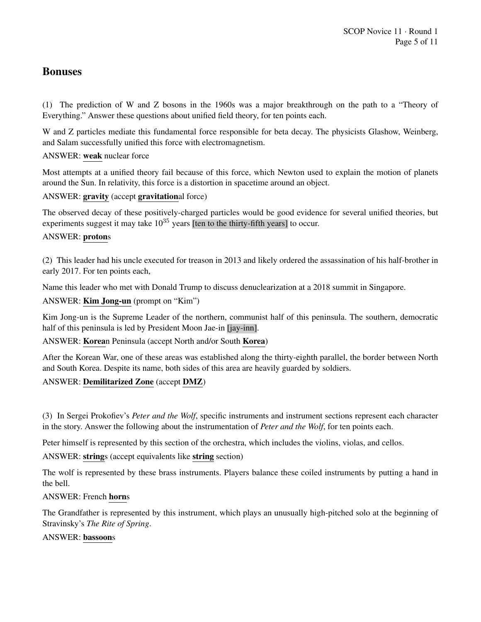## Bonuses

(1) The prediction of W and Z bosons in the 1960s was a major breakthrough on the path to a "Theory of Everything." Answer these questions about unified field theory, for ten points each.

W and Z particles mediate this fundamental force responsible for beta decay. The physicists Glashow, Weinberg, and Salam successfully unified this force with electromagnetism.

## ANSWER: weak nuclear force

Most attempts at a unified theory fail because of this force, which Newton used to explain the motion of planets around the Sun. In relativity, this force is a distortion in spacetime around an object.

## ANSWER: gravity (accept gravitational force)

The observed decay of these positively-charged particles would be good evidence for several unified theories, but experiments suggest it may take  $10^{35}$  years [ten to the thirty-fifth years] to occur.

#### ANSWER: protons

(2) This leader had his uncle executed for treason in 2013 and likely ordered the assassination of his half-brother in early 2017. For ten points each,

Name this leader who met with Donald Trump to discuss denuclearization at a 2018 summit in Singapore.

## ANSWER: Kim Jong-un (prompt on "Kim")

Kim Jong-un is the Supreme Leader of the northern, communist half of this peninsula. The southern, democratic half of this peninsula is led by President Moon Jae-in [jay-inn].

ANSWER: Korean Peninsula (accept North and/or South Korea)

After the Korean War, one of these areas was established along the thirty-eighth parallel, the border between North and South Korea. Despite its name, both sides of this area are heavily guarded by soldiers.

## ANSWER: Demilitarized Zone (accept DMZ)

(3) In Sergei Prokofiev's *Peter and the Wolf*, specific instruments and instrument sections represent each character in the story. Answer the following about the instrumentation of *Peter and the Wolf*, for ten points each.

Peter himself is represented by this section of the orchestra, which includes the violins, violas, and cellos.

ANSWER: strings (accept equivalents like string section)

The wolf is represented by these brass instruments. Players balance these coiled instruments by putting a hand in the bell.

#### ANSWER: French horns

The Grandfather is represented by this instrument, which plays an unusually high-pitched solo at the beginning of Stravinsky's *The Rite of Spring*.

#### ANSWER: bassoons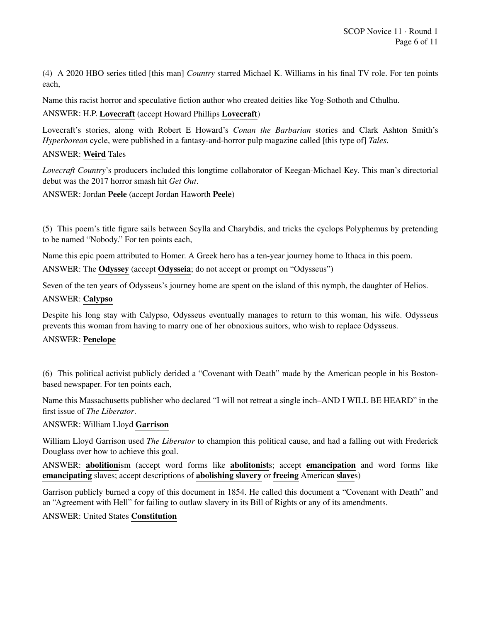(4) A 2020 HBO series titled [this man] *Country* starred Michael K. Williams in his final TV role. For ten points each,

Name this racist horror and speculative fiction author who created deities like Yog-Sothoth and Cthulhu.

## ANSWER: H.P. Lovecraft (accept Howard Phillips Lovecraft)

Lovecraft's stories, along with Robert E Howard's *Conan the Barbarian* stories and Clark Ashton Smith's *Hyperborean* cycle, were published in a fantasy-and-horror pulp magazine called [this type of] *Tales*.

## ANSWER: Weird Tales

*Lovecraft Country*'s producers included this longtime collaborator of Keegan-Michael Key. This man's directorial debut was the 2017 horror smash hit *Get Out*.

ANSWER: Jordan Peele (accept Jordan Haworth Peele)

(5) This poem's title figure sails between Scylla and Charybdis, and tricks the cyclops Polyphemus by pretending to be named "Nobody." For ten points each,

Name this epic poem attributed to Homer. A Greek hero has a ten-year journey home to Ithaca in this poem.

ANSWER: The Odyssey (accept Odysseia; do not accept or prompt on "Odysseus")

Seven of the ten years of Odysseus's journey home are spent on the island of this nymph, the daughter of Helios.

## ANSWER: Calypso

Despite his long stay with Calypso, Odysseus eventually manages to return to this woman, his wife. Odysseus prevents this woman from having to marry one of her obnoxious suitors, who wish to replace Odysseus.

#### ANSWER: Penelope

(6) This political activist publicly derided a "Covenant with Death" made by the American people in his Bostonbased newspaper. For ten points each,

Name this Massachusetts publisher who declared "I will not retreat a single inch–AND I WILL BE HEARD" in the first issue of *The Liberator*.

#### ANSWER: William Lloyd Garrison

William Lloyd Garrison used *The Liberator* to champion this political cause, and had a falling out with Frederick Douglass over how to achieve this goal.

ANSWER: abolitionism (accept word forms like abolitonists; accept emancipation and word forms like emancipating slaves; accept descriptions of abolishing slavery or freeing American slaves)

Garrison publicly burned a copy of this document in 1854. He called this document a "Covenant with Death" and an "Agreement with Hell" for failing to outlaw slavery in its Bill of Rights or any of its amendments.

#### ANSWER: United States Constitution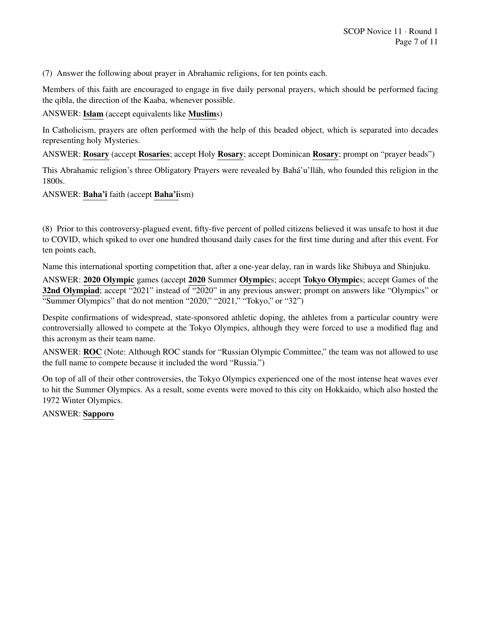(7) Answer the following about prayer in Abrahamic religions, for ten points each.

Members of this faith are encouraged to engage in five daily personal prayers, which should be performed facing the qibla, the direction of the Kaaba, whenever possible.

ANSWER: Islam (accept equivalents like Muslims)

In Catholicism, prayers are often performed with the help of this beaded object, which is separated into decades representing holy Mysteries.

ANSWER: Rosary (accept Rosaries; accept Holy Rosary; accept Dominican Rosary; prompt on "prayer beads")

This Abrahamic religion's three Obligatory Prayers were revealed by Bahá'u'llah, who founded this religion in the 1800s.

ANSWER: Baha'i faith (accept Baha'iism)

(8) Prior to this controversy-plagued event, fifty-five percent of polled citizens believed it was unsafe to host it due to COVID, which spiked to over one hundred thousand daily cases for the first time during and after this event. For ten points each,

Name this international sporting competition that, after a one-year delay, ran in wards like Shibuya and Shinjuku.

ANSWER: 2020 Olympic games (accept 2020 Summer Olympics; accept Tokyo Olympics; accept Games of the 32nd Olympiad; accept "2021" instead of "2020" in any previous answer; prompt on answers like "Olympics" or "Summer Olympics" that do not mention "2020," "2021," "Tokyo," or "32")

Despite confirmations of widespread, state-sponsored athletic doping, the athletes from a particular country were controversially allowed to compete at the Tokyo Olympics, although they were forced to use a modified flag and this acronym as their team name.

ANSWER: ROC (Note: Although ROC stands for "Russian Olympic Committee," the team was not allowed to use the full name to compete because it included the word "Russia.")

On top of all of their other controversies, the Tokyo Olympics experienced one of the most intense heat waves ever to hit the Summer Olympics. As a result, some events were moved to this city on Hokkaido, which also hosted the 1972 Winter Olympics.

ANSWER: Sapporo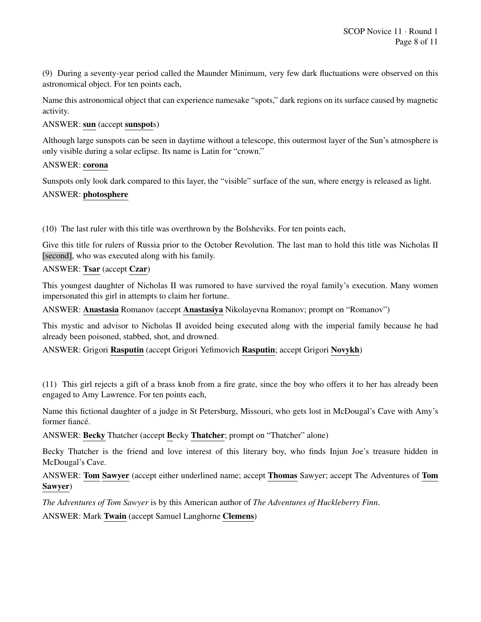(9) During a seventy-year period called the Maunder Minimum, very few dark fluctuations were observed on this astronomical object. For ten points each,

Name this astronomical object that can experience namesake "spots," dark regions on its surface caused by magnetic activity.

## ANSWER: sun (accept sunspots)

Although large sunspots can be seen in daytime without a telescope, this outermost layer of the Sun's atmosphere is only visible during a solar eclipse. Its name is Latin for "crown."

## ANSWER: corona

Sunspots only look dark compared to this layer, the "visible" surface of the sun, where energy is released as light.

## ANSWER: photosphere

(10) The last ruler with this title was overthrown by the Bolsheviks. For ten points each,

Give this title for rulers of Russia prior to the October Revolution. The last man to hold this title was Nicholas II [second], who was executed along with his family.

#### ANSWER: Tsar (accept Czar)

This youngest daughter of Nicholas II was rumored to have survived the royal family's execution. Many women impersonated this girl in attempts to claim her fortune.

ANSWER: Anastasia Romanov (accept Anastasiya Nikolayevna Romanov; prompt on "Romanov")

This mystic and advisor to Nicholas II avoided being executed along with the imperial family because he had already been poisoned, stabbed, shot, and drowned.

ANSWER: Grigori Rasputin (accept Grigori Yefimovich Rasputin; accept Grigori Novykh)

(11) This girl rejects a gift of a brass knob from a fire grate, since the boy who offers it to her has already been engaged to Amy Lawrence. For ten points each,

Name this fictional daughter of a judge in St Petersburg, Missouri, who gets lost in McDougal's Cave with Amy's former fiancé.

ANSWER: Becky Thatcher (accept Becky Thatcher; prompt on "Thatcher" alone)

Becky Thatcher is the friend and love interest of this literary boy, who finds Injun Joe's treasure hidden in McDougal's Cave.

ANSWER: Tom Sawyer (accept either underlined name; accept Thomas Sawyer; accept The Adventures of Tom Sawyer)

*The Adventures of Tom Sawyer* is by this American author of *The Adventures of Huckleberry Finn*.

ANSWER: Mark Twain (accept Samuel Langhorne Clemens)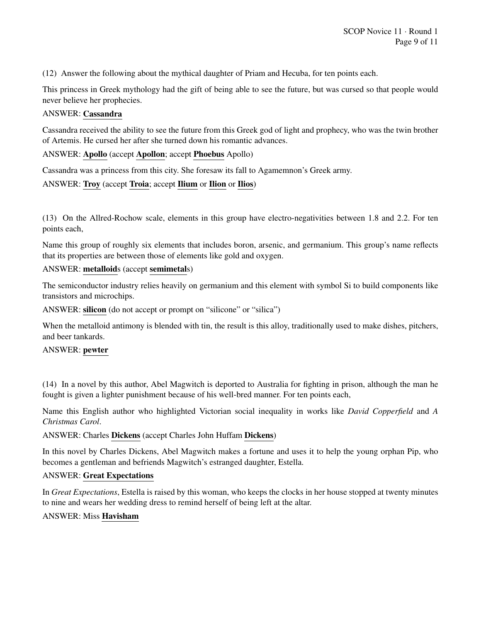(12) Answer the following about the mythical daughter of Priam and Hecuba, for ten points each.

This princess in Greek mythology had the gift of being able to see the future, but was cursed so that people would never believe her prophecies.

#### ANSWER: Cassandra

Cassandra received the ability to see the future from this Greek god of light and prophecy, who was the twin brother of Artemis. He cursed her after she turned down his romantic advances.

## ANSWER: Apollo (accept Apollon; accept Phoebus Apollo)

Cassandra was a princess from this city. She foresaw its fall to Agamemnon's Greek army.

## ANSWER: Troy (accept Troia; accept Ilium or Ilion or Ilios)

(13) On the Allred-Rochow scale, elements in this group have electro-negativities between 1.8 and 2.2. For ten points each,

Name this group of roughly six elements that includes boron, arsenic, and germanium. This group's name reflects that its properties are between those of elements like gold and oxygen.

#### ANSWER: metalloids (accept semimetals)

The semiconductor industry relies heavily on germanium and this element with symbol Si to build components like transistors and microchips.

ANSWER: silicon (do not accept or prompt on "silicone" or "silica")

When the metalloid antimony is blended with tin, the result is this alloy, traditionally used to make dishes, pitchers, and beer tankards.

#### ANSWER: pewter

(14) In a novel by this author, Abel Magwitch is deported to Australia for fighting in prison, although the man he fought is given a lighter punishment because of his well-bred manner. For ten points each,

Name this English author who highlighted Victorian social inequality in works like *David Copperfield* and *A Christmas Carol*.

#### ANSWER: Charles Dickens (accept Charles John Huffam Dickens)

In this novel by Charles Dickens, Abel Magwitch makes a fortune and uses it to help the young orphan Pip, who becomes a gentleman and befriends Magwitch's estranged daughter, Estella.

#### ANSWER: Great Expectations

In *Great Expectations*, Estella is raised by this woman, who keeps the clocks in her house stopped at twenty minutes to nine and wears her wedding dress to remind herself of being left at the altar.

#### ANSWER: Miss Havisham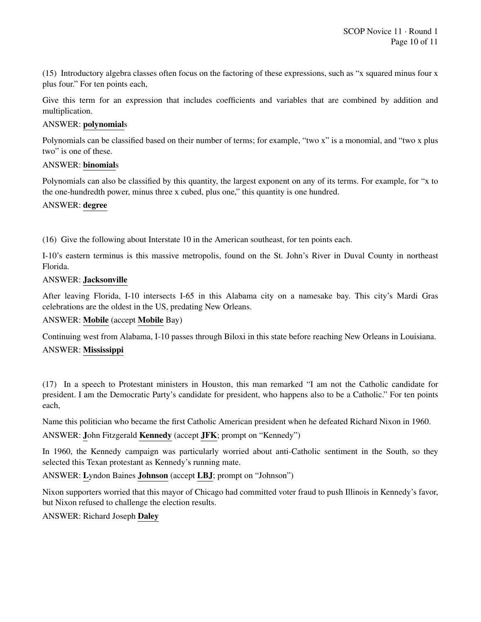(15) Introductory algebra classes often focus on the factoring of these expressions, such as "x squared minus four x plus four." For ten points each,

Give this term for an expression that includes coefficients and variables that are combined by addition and multiplication.

#### ANSWER: polynomials

Polynomials can be classified based on their number of terms; for example, "two x" is a monomial, and "two x plus two" is one of these.

#### ANSWER: binomials

Polynomials can also be classified by this quantity, the largest exponent on any of its terms. For example, for "x to the one-hundredth power, minus three x cubed, plus one," this quantity is one hundred.

#### ANSWER: degree

(16) Give the following about Interstate 10 in the American southeast, for ten points each.

I-10's eastern terminus is this massive metropolis, found on the St. John's River in Duval County in northeast Florida.

## ANSWER: Jacksonville

After leaving Florida, I-10 intersects I-65 in this Alabama city on a namesake bay. This city's Mardi Gras celebrations are the oldest in the US, predating New Orleans.

## ANSWER: Mobile (accept Mobile Bay)

Continuing west from Alabama, I-10 passes through Biloxi in this state before reaching New Orleans in Louisiana. ANSWER: Mississippi

(17) In a speech to Protestant ministers in Houston, this man remarked "I am not the Catholic candidate for president. I am the Democratic Party's candidate for president, who happens also to be a Catholic." For ten points each,

Name this politician who became the first Catholic American president when he defeated Richard Nixon in 1960.

## ANSWER: John Fitzgerald Kennedy (accept JFK; prompt on "Kennedy")

In 1960, the Kennedy campaign was particularly worried about anti-Catholic sentiment in the South, so they selected this Texan protestant as Kennedy's running mate.

ANSWER: Lyndon Baines Johnson (accept LBJ; prompt on "Johnson")

Nixon supporters worried that this mayor of Chicago had committed voter fraud to push Illinois in Kennedy's favor, but Nixon refused to challenge the election results.

ANSWER: Richard Joseph Daley